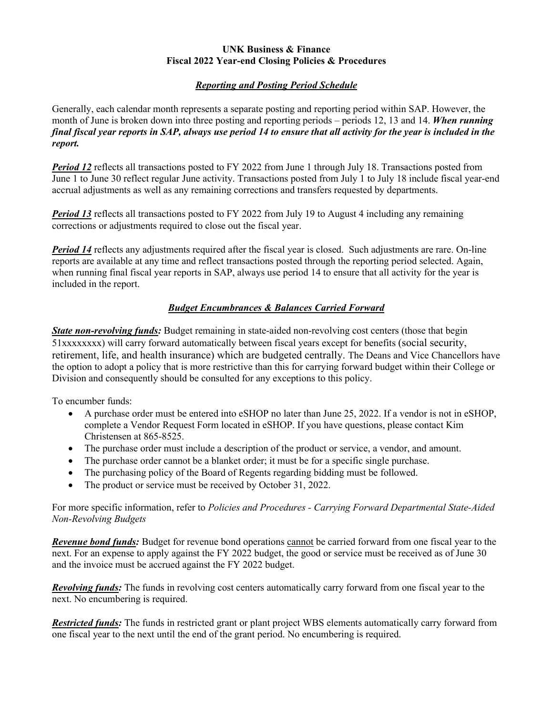#### **UNK Business & Finance Fiscal 2022 Year-end Closing Policies & Procedures**

## *Reporting and Posting Period Schedule*

Generally, each calendar month represents a separate posting and reporting period within SAP. However, the month of June is broken down into three posting and reporting periods – periods 12, 13 and 14. *When running final fiscal year reports in SAP, always use period 14 to ensure that all activity for the year is included in the report.*

**Period 12** reflects all transactions posted to FY 2022 from June 1 through July 18. Transactions posted from June 1 to June 30 reflect regular June activity. Transactions posted from July 1 to July 18 include fiscal year-end accrual adjustments as well as any remaining corrections and transfers requested by departments.

**Period 13** reflects all transactions posted to FY 2022 from July 19 to August 4 including any remaining corrections or adjustments required to close out the fiscal year.

*Period 14* reflects any adjustments required after the fiscal year is closed. Such adjustments are rare. On-line reports are available at any time and reflect transactions posted through the reporting period selected. Again, when running final fiscal year reports in SAP, always use period 14 to ensure that all activity for the year is included in the report.

# *Budget Encumbrances & Balances Carried Forward*

*State non-revolving funds:* Budget remaining in state-aided non-revolving cost centers (those that begin 51xxxxxxxx) will carry forward automatically between fiscal years except for benefits (social security, retirement, life, and health insurance) which are budgeted centrally. The Deans and Vice Chancellors have the option to adopt a policy that is more restrictive than this for carrying forward budget within their College or Division and consequently should be consulted for any exceptions to this policy.

To encumber funds:

- A purchase order must be entered into eSHOP no later than June 25, 2022. If a vendor is not in eSHOP, complete a Vendor Request Form located in eSHOP. If you have questions, please contact Kim Christensen at 865-8525.
- The purchase order must include a description of the product or service, a vendor, and amount.
- The purchase order cannot be a blanket order; it must be for a specific single purchase.
- The purchasing policy of the Board of Regents regarding bidding must be followed.
- The product or service must be received by October 31, 2022.

For more specific information, refer to *Policies and Procedures - Carrying Forward Departmental State-Aided Non-Revolving Budgets*

*Revenue bond funds:* Budget for revenue bond operations cannot be carried forward from one fiscal year to the next. For an expense to apply against the FY 2022 budget, the good or service must be received as of June 30 and the invoice must be accrued against the FY 2022 budget.

*Revolving funds:* The funds in revolving cost centers automatically carry forward from one fiscal year to the next. No encumbering is required.

*Restricted funds:* The funds in restricted grant or plant project WBS elements automatically carry forward from one fiscal year to the next until the end of the grant period. No encumbering is required.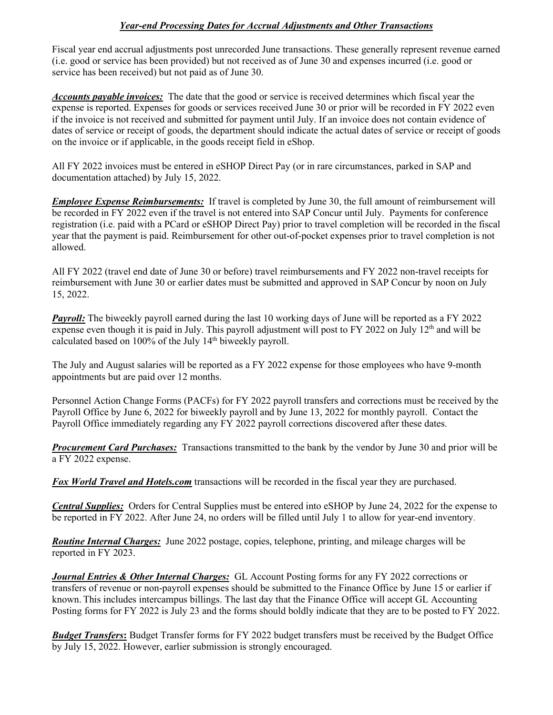### *Year-end Processing Dates for Accrual Adjustments and Other Transactions*

Fiscal year end accrual adjustments post unrecorded June transactions. These generally represent revenue earned (i.e. good or service has been provided) but not received as of June 30 and expenses incurred (i.e. good or service has been received) but not paid as of June 30.

*Accounts payable invoices:* The date that the good or service is received determines which fiscal year the expense is reported. Expenses for goods or services received June 30 or prior will be recorded in FY 2022 even if the invoice is not received and submitted for payment until July. If an invoice does not contain evidence of dates of service or receipt of goods, the department should indicate the actual dates of service or receipt of goods on the invoice or if applicable, in the goods receipt field in eShop.

All FY 2022 invoices must be entered in eSHOP Direct Pay (or in rare circumstances, parked in SAP and documentation attached) by July 15, 2022.

*Employee Expense Reimbursements:*If travel is completed by June 30, the full amount of reimbursement will be recorded in FY 2022 even if the travel is not entered into SAP Concur until July. Payments for conference registration (i.e. paid with a PCard or eSHOP Direct Pay) prior to travel completion will be recorded in the fiscal year that the payment is paid. Reimbursement for other out-of-pocket expenses prior to travel completion is not allowed.

All FY 2022 (travel end date of June 30 or before) travel reimbursements and FY 2022 non-travel receipts for reimbursement with June 30 or earlier dates must be submitted and approved in SAP Concur by noon on July 15, 2022.

*Payroll:* The biweekly payroll earned during the last 10 working days of June will be reported as a FY 2022 expense even though it is paid in July. This payroll adjustment will post to FY 2022 on July 12<sup>th</sup> and will be calculated based on 100% of the July 14<sup>th</sup> biweekly payroll.

The July and August salaries will be reported as a FY 2022 expense for those employees who have 9-month appointments but are paid over 12 months.

Personnel Action Change Forms (PACFs) for FY 2022 payroll transfers and corrections must be received by the Payroll Office by June 6, 2022 for biweekly payroll and by June 13, 2022 for monthly payroll. Contact the Payroll Office immediately regarding any FY 2022 payroll corrections discovered after these dates.

*Procurement Card Purchases:* Transactions transmitted to the bank by the vendor by June 30 and prior will be a FY 2022 expense.

*Fox World Travel and Hotels.com* transactions will be recorded in the fiscal year they are purchased.

*Central Supplies:* Orders for Central Supplies must be entered into eSHOP by June 24, 2022 for the expense to be reported in FY 2022. After June 24, no orders will be filled until July 1 to allow for year-end inventory.

*Routine Internal Charges:* June 2022 postage, copies, telephone, printing, and mileage charges will be reported in FY 2023.

*Journal Entries & Other Internal Charges:* GL Account Posting forms for any FY 2022 corrections or transfers of revenue or non-payroll expenses should be submitted to the Finance Office by June 15 or earlier if known. This includes intercampus billings. The last day that the Finance Office will accept GL Accounting Posting forms for FY 2022 is July 23 and the forms should boldly indicate that they are to be posted to FY 2022.

*Budget Transfers***:** Budget Transfer forms for FY 2022 budget transfers must be received by the Budget Office by July 15, 2022. However, earlier submission is strongly encouraged.